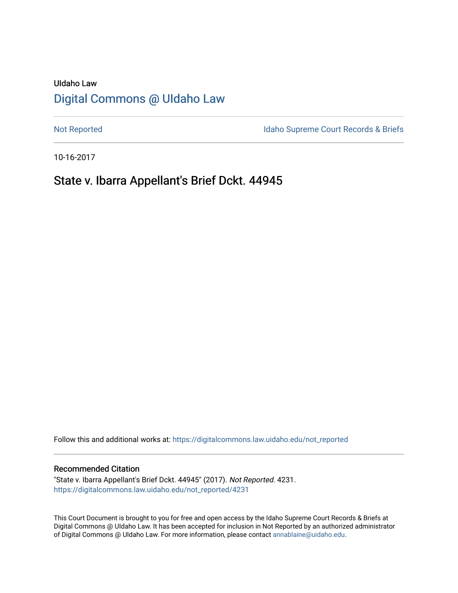# UIdaho Law [Digital Commons @ UIdaho Law](https://digitalcommons.law.uidaho.edu/)

[Not Reported](https://digitalcommons.law.uidaho.edu/not_reported) **Idaho Supreme Court Records & Briefs** 

10-16-2017

# State v. Ibarra Appellant's Brief Dckt. 44945

Follow this and additional works at: [https://digitalcommons.law.uidaho.edu/not\\_reported](https://digitalcommons.law.uidaho.edu/not_reported?utm_source=digitalcommons.law.uidaho.edu%2Fnot_reported%2F4231&utm_medium=PDF&utm_campaign=PDFCoverPages) 

#### Recommended Citation

"State v. Ibarra Appellant's Brief Dckt. 44945" (2017). Not Reported. 4231. [https://digitalcommons.law.uidaho.edu/not\\_reported/4231](https://digitalcommons.law.uidaho.edu/not_reported/4231?utm_source=digitalcommons.law.uidaho.edu%2Fnot_reported%2F4231&utm_medium=PDF&utm_campaign=PDFCoverPages)

This Court Document is brought to you for free and open access by the Idaho Supreme Court Records & Briefs at Digital Commons @ UIdaho Law. It has been accepted for inclusion in Not Reported by an authorized administrator of Digital Commons @ UIdaho Law. For more information, please contact [annablaine@uidaho.edu](mailto:annablaine@uidaho.edu).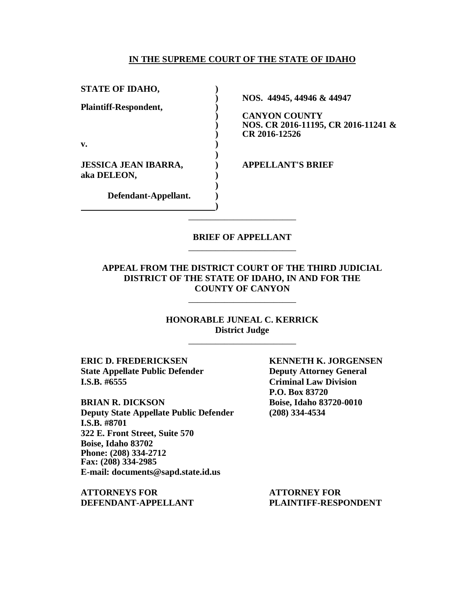### **IN THE SUPREME COURT OF THE STATE OF IDAHO**

| <b>STATE OF IDAHO,</b>                     | NOS. 44945, 44946 & 44947                                                    |
|--------------------------------------------|------------------------------------------------------------------------------|
| <b>Plaintiff-Respondent,</b>               | <b>CANYON COUNTY</b><br>NOS. CR 2016-11195, CR 2016-11241 &<br>CR 2016-12526 |
| $\mathbf{v}$ .                             |                                                                              |
| <b>JESSICA JEAN IBARRA,</b><br>aka DELEON, | <b>APPELLANT'S BRIEF</b>                                                     |
| Defendant-Appellant.                       |                                                                              |

### **BRIEF OF APPELLANT** \_\_\_\_\_\_\_\_\_\_\_\_\_\_\_\_\_\_\_\_\_\_\_\_

\_\_\_\_\_\_\_\_\_\_\_\_\_\_\_\_\_\_\_\_\_\_\_\_

**APPEAL FROM THE DISTRICT COURT OF THE THIRD JUDICIAL DISTRICT OF THE STATE OF IDAHO, IN AND FOR THE COUNTY OF CANYON**

\_\_\_\_\_\_\_\_\_\_\_\_\_\_\_\_\_\_\_\_\_\_\_\_

**HONORABLE JUNEAL C. KERRICK District Judge**

\_\_\_\_\_\_\_\_\_\_\_\_\_\_\_\_\_\_\_\_\_\_\_\_

**ERIC D. FREDERICKSEN KENNETH K. JORGENSEN State Appellate Public Defender Deputy Attorney General I.S.B. #6555 Criminal Law Division**

**BRIAN R. DICKSON Boise, Idaho 83720-0010 Deputy State Appellate Public Defender (208) 334-4534 I.S.B. #8701 322 E. Front Street, Suite 570 Boise, Idaho 83702 Phone: (208) 334-2712 Fax: (208) 334-2985 E-mail: documents@sapd.state.id.us**

**ATTORNEYS FOR ATTORNEY FOR DEFENDANT-APPELLANT PLAINTIFF-RESPONDENT**

**P.O. Box 83720**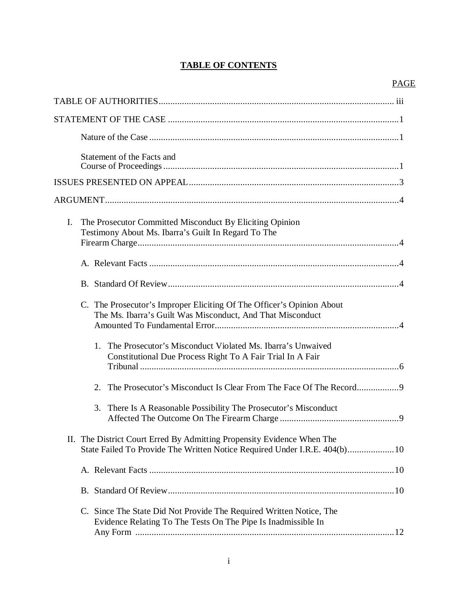# **TABLE OF CONTENTS**

# PAGE

|    | Statement of the Facts and                                                                                                                           |
|----|------------------------------------------------------------------------------------------------------------------------------------------------------|
|    |                                                                                                                                                      |
|    |                                                                                                                                                      |
| I. | The Prosecutor Committed Misconduct By Eliciting Opinion<br>Testimony About Ms. Ibarra's Guilt In Regard To The                                      |
|    |                                                                                                                                                      |
|    |                                                                                                                                                      |
|    | C. The Prosecutor's Improper Eliciting Of The Officer's Opinion About<br>The Ms. Ibarra's Guilt Was Misconduct, And That Misconduct                  |
|    | The Prosecutor's Misconduct Violated Ms. Ibarra's Unwaived<br>1.<br>Constitutional Due Process Right To A Fair Trial In A Fair                       |
|    | 2.                                                                                                                                                   |
|    | 3. There Is A Reasonable Possibility The Prosecutor's Misconduct                                                                                     |
|    | II. The District Court Erred By Admitting Propensity Evidence When The<br>State Failed To Provide The Written Notice Required Under I.R.E. 404(b) 10 |
|    |                                                                                                                                                      |
|    |                                                                                                                                                      |
|    | C. Since The State Did Not Provide The Required Written Notice, The<br>Evidence Relating To The Tests On The Pipe Is Inadmissible In                 |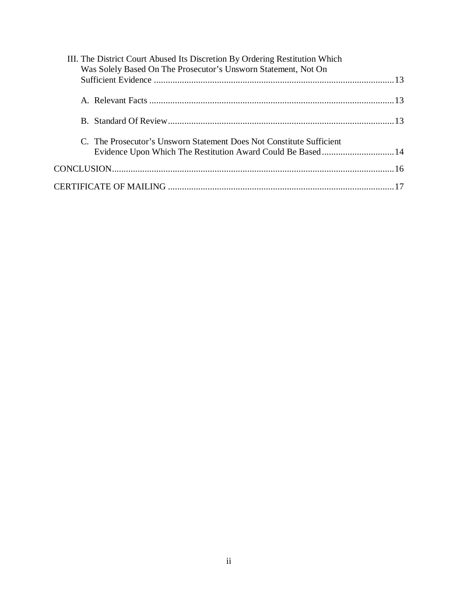| C. The Prosecutor's Unsworn Statement Does Not Constitute Sufficient<br>Evidence Upon Which The Restitution Award Could Be Based 14 | III. The District Court Abused Its Discretion By Ordering Restitution Which<br>Was Solely Based On The Prosecutor's Unsworn Statement, Not On |  |  |  |  |
|-------------------------------------------------------------------------------------------------------------------------------------|-----------------------------------------------------------------------------------------------------------------------------------------------|--|--|--|--|
|                                                                                                                                     |                                                                                                                                               |  |  |  |  |
|                                                                                                                                     |                                                                                                                                               |  |  |  |  |
|                                                                                                                                     |                                                                                                                                               |  |  |  |  |
|                                                                                                                                     |                                                                                                                                               |  |  |  |  |
|                                                                                                                                     |                                                                                                                                               |  |  |  |  |
|                                                                                                                                     |                                                                                                                                               |  |  |  |  |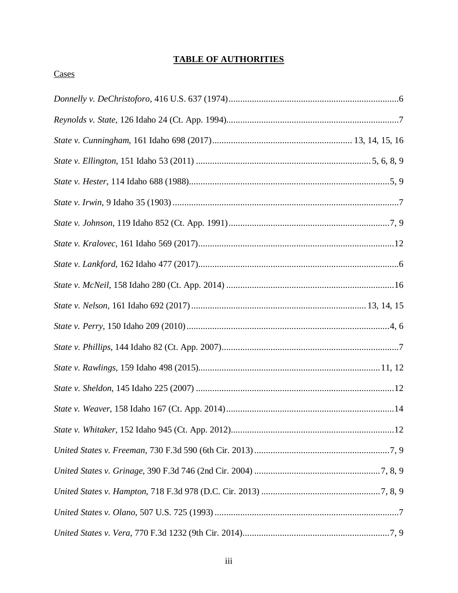# **TABLE OF AUTHORITIES**

# **Cases**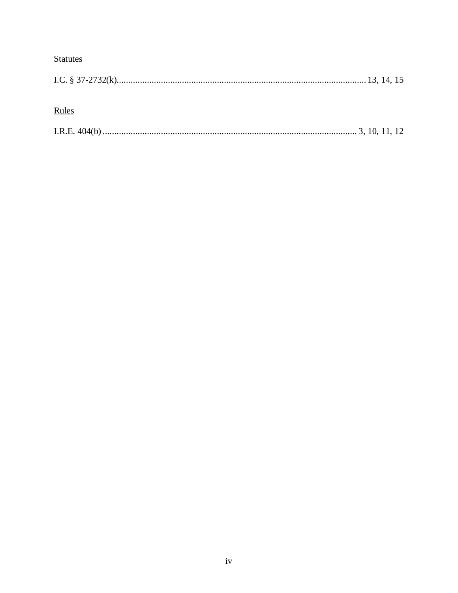# **Statutes**

# Rules

|--|--|--|--|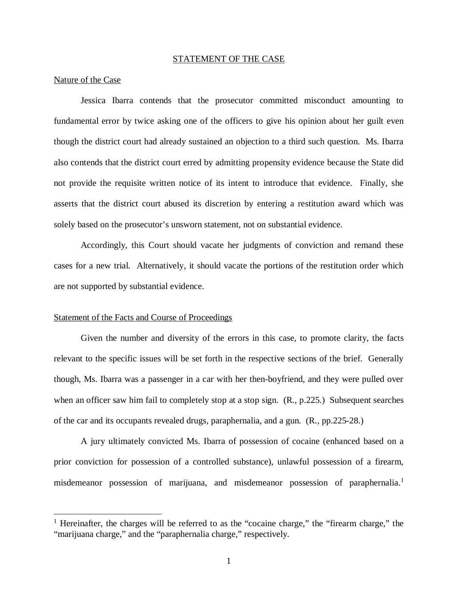#### STATEMENT OF THE CASE

#### Nature of the Case

Jessica Ibarra contends that the prosecutor committed misconduct amounting to fundamental error by twice asking one of the officers to give his opinion about her guilt even though the district court had already sustained an objection to a third such question. Ms. Ibarra also contends that the district court erred by admitting propensity evidence because the State did not provide the requisite written notice of its intent to introduce that evidence. Finally, she asserts that the district court abused its discretion by entering a restitution award which was solely based on the prosecutor's unsworn statement, not on substantial evidence.

Accordingly, this Court should vacate her judgments of conviction and remand these cases for a new trial. Alternatively, it should vacate the portions of the restitution order which are not supported by substantial evidence.

### Statement of the Facts and Course of Proceedings

Given the number and diversity of the errors in this case, to promote clarity, the facts relevant to the specific issues will be set forth in the respective sections of the brief. Generally though, Ms. Ibarra was a passenger in a car with her then-boyfriend, and they were pulled over when an officer saw him fail to completely stop at a stop sign. (R., p.225.) Subsequent searches of the car and its occupants revealed drugs, paraphernalia, and a gun. (R., pp.225-28.)

A jury ultimately convicted Ms. Ibarra of possession of cocaine (enhanced based on a prior conviction for possession of a controlled substance), unlawful possession of a firearm, misdemeanor possession of marijuana, and misdemeanor possession of paraphernalia.<sup>[1](#page-6-0)</sup>

<span id="page-6-0"></span><sup>&</sup>lt;sup>1</sup> Hereinafter, the charges will be referred to as the "cocaine charge," the "firearm charge," the "marijuana charge," and the "paraphernalia charge," respectively.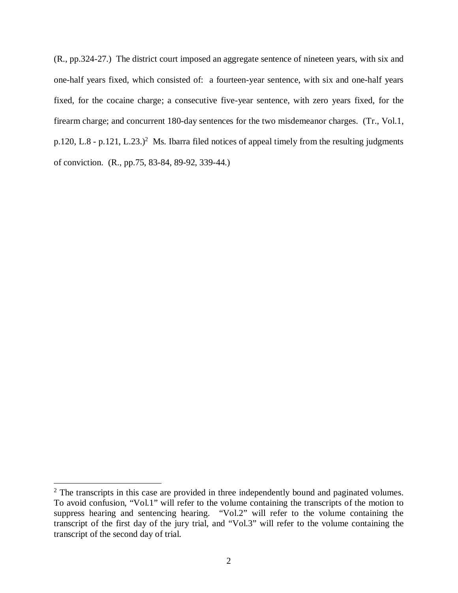(R., pp.324-27.) The district court imposed an aggregate sentence of nineteen years, with six and one-half years fixed, which consisted of: a fourteen-year sentence, with six and one-half years fixed, for the cocaine charge; a consecutive five-year sentence, with zero years fixed, for the firearm charge; and concurrent 180-day sentences for the two misdemeanor charges. (Tr., Vol.1, p.1[2](#page-7-0)0, L.8 - p.121, L.23.)<sup>2</sup> Ms. Ibarra filed notices of appeal timely from the resulting judgments of conviction. (R., pp.75, 83-84, 89-92, 339-44.)

<span id="page-7-0"></span> $2$  The transcripts in this case are provided in three independently bound and paginated volumes. To avoid confusion, "Vol.1" will refer to the volume containing the transcripts of the motion to suppress hearing and sentencing hearing. "Vol.2" will refer to the volume containing the transcript of the first day of the jury trial, and "Vol.3" will refer to the volume containing the transcript of the second day of trial.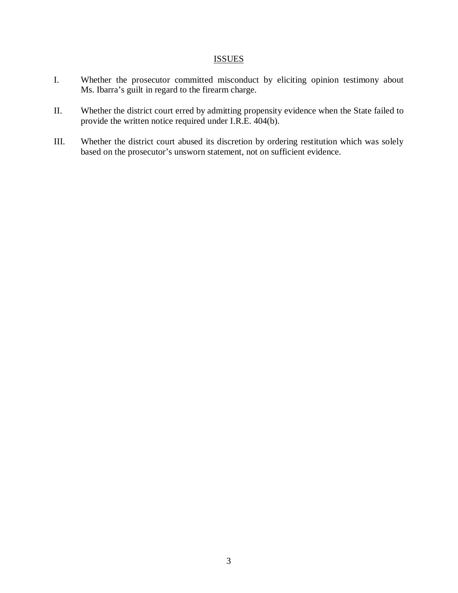# **ISSUES**

- I. Whether the prosecutor committed misconduct by eliciting opinion testimony about Ms. Ibarra's guilt in regard to the firearm charge.
- II. Whether the district court erred by admitting propensity evidence when the State failed to provide the written notice required under I.R.E. 404(b).
- III. Whether the district court abused its discretion by ordering restitution which was solely based on the prosecutor's unsworn statement, not on sufficient evidence.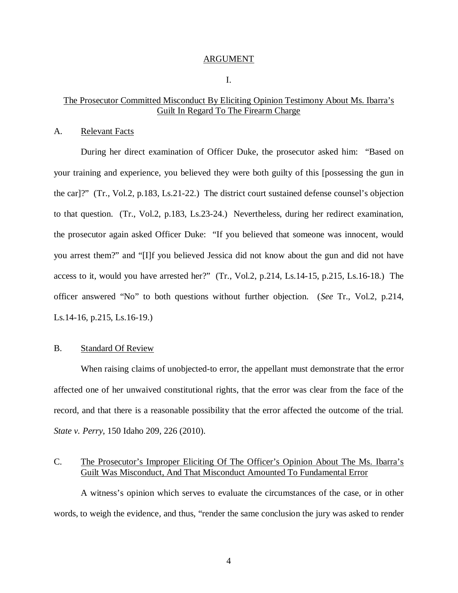#### ARGUMENT

I.

## The Prosecutor Committed Misconduct By Eliciting Opinion Testimony About Ms. Ibarra's Guilt In Regard To The Firearm Charge

#### A. Relevant Facts

During her direct examination of Officer Duke, the prosecutor asked him: "Based on your training and experience, you believed they were both guilty of this [possessing the gun in the car]?" (Tr., Vol.2, p.183, Ls.21-22.) The district court sustained defense counsel's objection to that question. (Tr., Vol.2, p.183, Ls.23-24.) Nevertheless, during her redirect examination, the prosecutor again asked Officer Duke: "If you believed that someone was innocent, would you arrest them?" and "[I]f you believed Jessica did not know about the gun and did not have access to it, would you have arrested her?" (Tr., Vol.2, p.214, Ls.14-15, p.215, Ls.16-18.) The officer answered "No" to both questions without further objection. (*See* Tr., Vol.2, p.214, Ls.14-16, p.215, Ls.16-19.)

#### B. Standard Of Review

When raising claims of unobjected-to error, the appellant must demonstrate that the error affected one of her unwaived constitutional rights, that the error was clear from the face of the record, and that there is a reasonable possibility that the error affected the outcome of the trial. *State v. Perry*, 150 Idaho 209, 226 (2010).

# C. The Prosecutor's Improper Eliciting Of The Officer's Opinion About The Ms. Ibarra's Guilt Was Misconduct, And That Misconduct Amounted To Fundamental Error

A witness's opinion which serves to evaluate the circumstances of the case, or in other words, to weigh the evidence, and thus, "render the same conclusion the jury was asked to render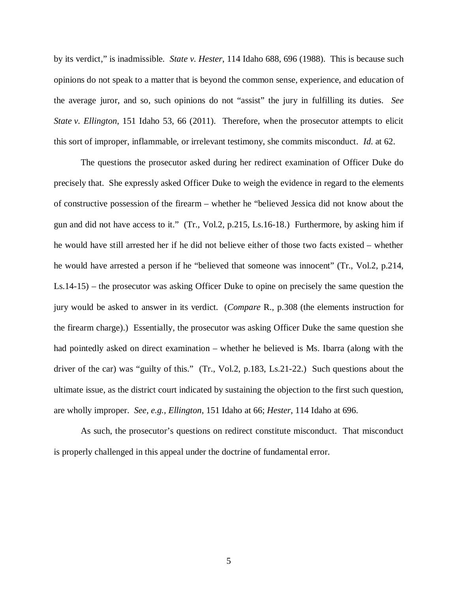by its verdict," is inadmissible. *State v. Hester*, 114 Idaho 688, 696 (1988). This is because such opinions do not speak to a matter that is beyond the common sense, experience, and education of the average juror, and so, such opinions do not "assist" the jury in fulfilling its duties. *See State v. Ellington*, 151 Idaho 53, 66 (2011). Therefore, when the prosecutor attempts to elicit this sort of improper, inflammable, or irrelevant testimony, she commits misconduct. *Id*. at 62.

The questions the prosecutor asked during her redirect examination of Officer Duke do precisely that. She expressly asked Officer Duke to weigh the evidence in regard to the elements of constructive possession of the firearm – whether he "believed Jessica did not know about the gun and did not have access to it." (Tr., Vol.2, p.215, Ls.16-18.) Furthermore, by asking him if he would have still arrested her if he did not believe either of those two facts existed – whether he would have arrested a person if he "believed that someone was innocent" (Tr., Vol.2, p.214, Ls.14-15) – the prosecutor was asking Officer Duke to opine on precisely the same question the jury would be asked to answer in its verdict. (*Compare* R., p.308 (the elements instruction for the firearm charge).) Essentially, the prosecutor was asking Officer Duke the same question she had pointedly asked on direct examination – whether he believed is Ms. Ibarra (along with the driver of the car) was "guilty of this." (Tr., Vol.2, p.183, Ls.21-22.) Such questions about the ultimate issue, as the district court indicated by sustaining the objection to the first such question, are wholly improper. *See, e.g., Ellington*, 151 Idaho at 66; *Hester*, 114 Idaho at 696.

As such, the prosecutor's questions on redirect constitute misconduct. That misconduct is properly challenged in this appeal under the doctrine of fundamental error.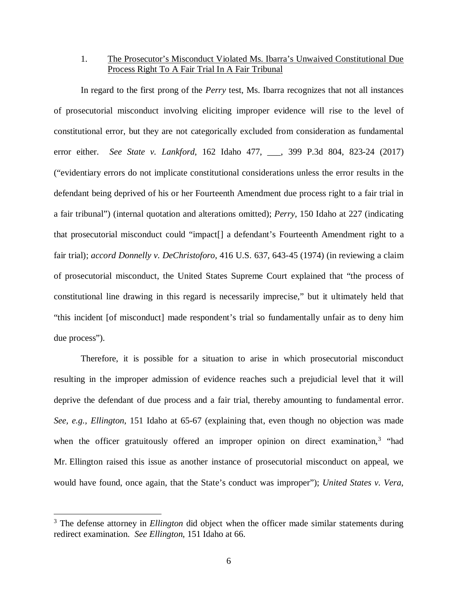# 1. The Prosecutor's Misconduct Violated Ms. Ibarra's Unwaived Constitutional Due Process Right To A Fair Trial In A Fair Tribunal

In regard to the first prong of the *Perry* test, Ms. Ibarra recognizes that not all instances of prosecutorial misconduct involving eliciting improper evidence will rise to the level of constitutional error, but they are not categorically excluded from consideration as fundamental error either. *See State v. Lankford*, 162 Idaho 477, \_\_\_, 399 P.3d 804, 823-24 (2017) ("evidentiary errors do not implicate constitutional considerations unless the error results in the defendant being deprived of his or her Fourteenth Amendment due process right to a fair trial in a fair tribunal") (internal quotation and alterations omitted); *Perry*, 150 Idaho at 227 (indicating that prosecutorial misconduct could "impact[] a defendant's Fourteenth Amendment right to a fair trial); *accord Donnelly v. DeChristoforo*, 416 U.S. 637, 643-45 (1974) (in reviewing a claim of prosecutorial misconduct, the United States Supreme Court explained that "the process of constitutional line drawing in this regard is necessarily imprecise," but it ultimately held that "this incident [of misconduct] made respondent's trial so fundamentally unfair as to deny him due process").

Therefore, it is possible for a situation to arise in which prosecutorial misconduct resulting in the improper admission of evidence reaches such a prejudicial level that it will deprive the defendant of due process and a fair trial, thereby amounting to fundamental error. *See, e.g., Ellington*, 151 Idaho at 65-67 (explaining that, even though no objection was made when the officer gratuitously offered an improper opinion on direct examination,<sup>[3](#page-11-0)</sup> "had Mr. Ellington raised this issue as another instance of prosecutorial misconduct on appeal, we would have found, once again, that the State's conduct was improper"); *United States v. Vera*,

<span id="page-11-0"></span><sup>&</sup>lt;sup>3</sup> The defense attorney in *Ellington* did object when the officer made similar statements during redirect examination. *See Ellington*, 151 Idaho at 66.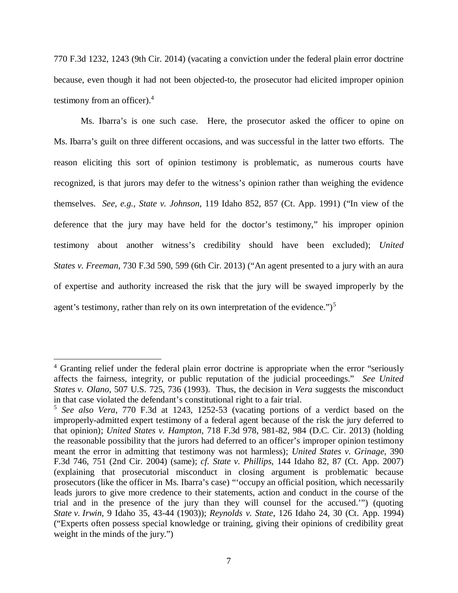770 F.3d 1232, 1243 (9th Cir. 2014) (vacating a conviction under the federal plain error doctrine because, even though it had not been objected-to, the prosecutor had elicited improper opinion testimony from an officer).[4](#page-12-0)

Ms. Ibarra's is one such case. Here, the prosecutor asked the officer to opine on Ms. Ibarra's guilt on three different occasions, and was successful in the latter two efforts. The reason eliciting this sort of opinion testimony is problematic, as numerous courts have recognized, is that jurors may defer to the witness's opinion rather than weighing the evidence themselves. *See, e.g., State v. Johnson*, 119 Idaho 852, 857 (Ct. App. 1991) ("In view of the deference that the jury may have held for the doctor's testimony," his improper opinion testimony about another witness's credibility should have been excluded); *United States v. Freeman*, 730 F.3d 590, 599 (6th Cir. 2013) ("An agent presented to a jury with an aura of expertise and authority increased the risk that the jury will be swayed improperly by the agent's testimony, rather than rely on its own interpretation of the evidence." $)^5$  $)^5$ 

<span id="page-12-0"></span><sup>&</sup>lt;sup>4</sup> Granting relief under the federal plain error doctrine is appropriate when the error "seriously affects the fairness, integrity, or public reputation of the judicial proceedings." *See United States v. Olano*, 507 U.S. 725, 736 (1993). Thus, the decision in *Vera* suggests the misconduct in that case violated the defendant's constitutional right to a fair trial.

<span id="page-12-1"></span><sup>5</sup> *See also Vera*, 770 F.3d at 1243, 1252-53 (vacating portions of a verdict based on the improperly-admitted expert testimony of a federal agent because of the risk the jury deferred to that opinion); *United States v. Hampton*, 718 F.3d 978, 981-82, 984 (D.C. Cir. 2013) (holding the reasonable possibility that the jurors had deferred to an officer's improper opinion testimony meant the error in admitting that testimony was not harmless); *United States v. Grinage*, 390 F.3d 746, 751 (2nd Cir. 2004) (same); *cf. State v. Phillips*, 144 Idaho 82, 87 (Ct. App. 2007) (explaining that prosecutorial misconduct in closing argument is problematic because prosecutors (like the officer in Ms. Ibarra's case) "'occupy an official position, which necessarily leads jurors to give more credence to their statements, action and conduct in the course of the trial and in the presence of the jury than they will counsel for the accused.'") (quoting *State v. Irwin*, 9 Idaho 35, 43-44 (1903)); *Reynolds v. State*, 126 Idaho 24, 30 (Ct. App. 1994) ("Experts often possess special knowledge or training, giving their opinions of credibility great weight in the minds of the jury.")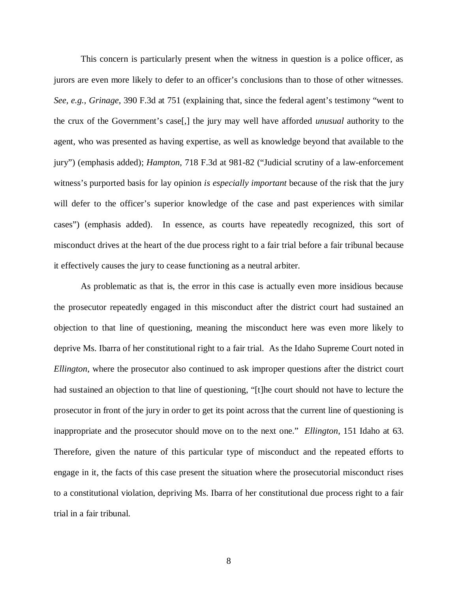This concern is particularly present when the witness in question is a police officer, as jurors are even more likely to defer to an officer's conclusions than to those of other witnesses. *See, e.g., Grinage*, 390 F.3d at 751 (explaining that, since the federal agent's testimony "went to the crux of the Government's case[,] the jury may well have afforded *unusual* authority to the agent, who was presented as having expertise, as well as knowledge beyond that available to the jury") (emphasis added); *Hampton*, 718 F.3d at 981-82 ("Judicial scrutiny of a law-enforcement witness's purported basis for lay opinion *is especially important* because of the risk that the jury will defer to the officer's superior knowledge of the case and past experiences with similar cases") (emphasis added). In essence, as courts have repeatedly recognized, this sort of misconduct drives at the heart of the due process right to a fair trial before a fair tribunal because it effectively causes the jury to cease functioning as a neutral arbiter.

As problematic as that is, the error in this case is actually even more insidious because the prosecutor repeatedly engaged in this misconduct after the district court had sustained an objection to that line of questioning, meaning the misconduct here was even more likely to deprive Ms. Ibarra of her constitutional right to a fair trial. As the Idaho Supreme Court noted in *Ellington*, where the prosecutor also continued to ask improper questions after the district court had sustained an objection to that line of questioning, "[t]he court should not have to lecture the prosecutor in front of the jury in order to get its point across that the current line of questioning is inappropriate and the prosecutor should move on to the next one." *Ellington*, 151 Idaho at 63. Therefore, given the nature of this particular type of misconduct and the repeated efforts to engage in it, the facts of this case present the situation where the prosecutorial misconduct rises to a constitutional violation, depriving Ms. Ibarra of her constitutional due process right to a fair trial in a fair tribunal.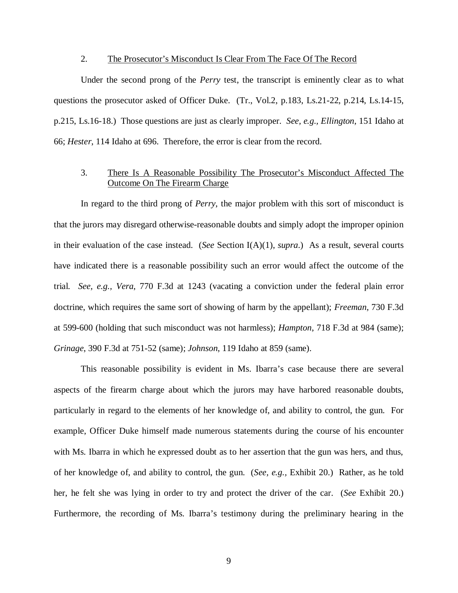### 2. The Prosecutor's Misconduct Is Clear From The Face Of The Record

Under the second prong of the *Perry* test, the transcript is eminently clear as to what questions the prosecutor asked of Officer Duke. (Tr., Vol.2, p.183, Ls.21-22, p.214, Ls.14-15, p.215, Ls.16-18.) Those questions are just as clearly improper. *See, e.g., Ellington*, 151 Idaho at 66; *Hester*, 114 Idaho at 696. Therefore, the error is clear from the record.

# 3. There Is A Reasonable Possibility The Prosecutor's Misconduct Affected The Outcome On The Firearm Charge

In regard to the third prong of *Perry*, the major problem with this sort of misconduct is that the jurors may disregard otherwise-reasonable doubts and simply adopt the improper opinion in their evaluation of the case instead. (*See* Section I(A)(1), *supra*.) As a result, several courts have indicated there is a reasonable possibility such an error would affect the outcome of the trial. *See, e.g., Vera*, 770 F.3d at 1243 (vacating a conviction under the federal plain error doctrine, which requires the same sort of showing of harm by the appellant); *Freeman*, 730 F.3d at 599-600 (holding that such misconduct was not harmless); *Hampton*, 718 F.3d at 984 (same); *Grinage*, 390 F.3d at 751-52 (same); *Johnson*, 119 Idaho at 859 (same).

This reasonable possibility is evident in Ms. Ibarra's case because there are several aspects of the firearm charge about which the jurors may have harbored reasonable doubts, particularly in regard to the elements of her knowledge of, and ability to control, the gun. For example, Officer Duke himself made numerous statements during the course of his encounter with Ms. Ibarra in which he expressed doubt as to her assertion that the gun was hers, and thus, of her knowledge of, and ability to control, the gun. (*See, e.g.,* Exhibit 20.) Rather, as he told her, he felt she was lying in order to try and protect the driver of the car. (*See* Exhibit 20.) Furthermore, the recording of Ms. Ibarra's testimony during the preliminary hearing in the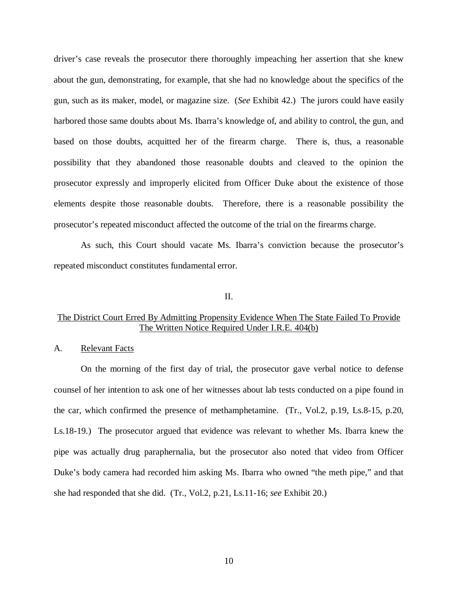driver's case reveals the prosecutor there thoroughly impeaching her assertion that she knew about the gun, demonstrating, for example, that she had no knowledge about the specifics of the gun, such as its maker, model, or magazine size. (*See* Exhibit 42.) The jurors could have easily harbored those same doubts about Ms. Ibarra's knowledge of, and ability to control, the gun, and based on those doubts, acquitted her of the firearm charge. There is, thus, a reasonable possibility that they abandoned those reasonable doubts and cleaved to the opinion the prosecutor expressly and improperly elicited from Officer Duke about the existence of those elements despite those reasonable doubts. Therefore, there is a reasonable possibility the prosecutor's repeated misconduct affected the outcome of the trial on the firearms charge.

As such, this Court should vacate Ms. Ibarra's conviction because the prosecutor's repeated misconduct constitutes fundamental error.

#### II.

# The District Court Erred By Admitting Propensity Evidence When The State Failed To Provide The Written Notice Required Under I.R.E. 404(b)

#### A. Relevant Facts

On the morning of the first day of trial, the prosecutor gave verbal notice to defense counsel of her intention to ask one of her witnesses about lab tests conducted on a pipe found in the car, which confirmed the presence of methamphetamine. (Tr., Vol.2, p.19, Ls.8-15, p.20, Ls.18-19.) The prosecutor argued that evidence was relevant to whether Ms. Ibarra knew the pipe was actually drug paraphernalia, but the prosecutor also noted that video from Officer Duke's body camera had recorded him asking Ms. Ibarra who owned "the meth pipe," and that she had responded that she did. (Tr., Vol.2, p.21, Ls.11-16; *see* Exhibit 20.)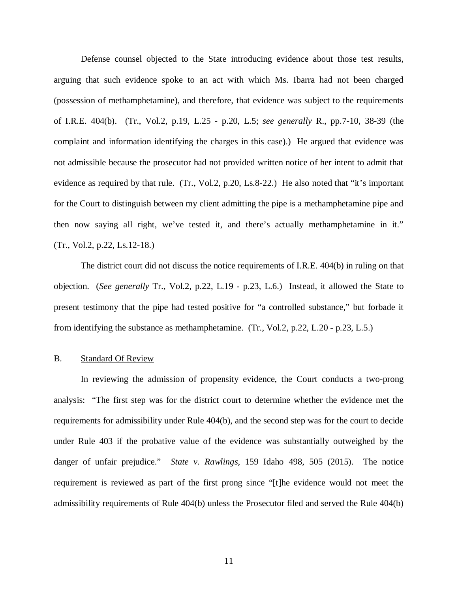Defense counsel objected to the State introducing evidence about those test results, arguing that such evidence spoke to an act with which Ms. Ibarra had not been charged (possession of methamphetamine), and therefore, that evidence was subject to the requirements of I.R.E. 404(b). (Tr., Vol.2, p.19, L.25 - p.20, L.5; *see generally* R., pp.7-10, 38-39 (the complaint and information identifying the charges in this case).) He argued that evidence was not admissible because the prosecutor had not provided written notice of her intent to admit that evidence as required by that rule. (Tr., Vol.2, p.20, Ls.8-22.) He also noted that "it's important for the Court to distinguish between my client admitting the pipe is a methamphetamine pipe and then now saying all right, we've tested it, and there's actually methamphetamine in it." (Tr., Vol.2, p.22, Ls.12-18.)

The district court did not discuss the notice requirements of I.R.E. 404(b) in ruling on that objection. (*See generally* Tr., Vol.2, p.22, L.19 - p.23, L.6.) Instead, it allowed the State to present testimony that the pipe had tested positive for "a controlled substance," but forbade it from identifying the substance as methamphetamine. (Tr., Vol.2, p.22, L.20 - p.23, L.5.)

## B. Standard Of Review

In reviewing the admission of propensity evidence, the Court conducts a two-prong analysis: "The first step was for the district court to determine whether the evidence met the requirements for admissibility under Rule 404(b), and the second step was for the court to decide under Rule 403 if the probative value of the evidence was substantially outweighed by the danger of unfair prejudice." *State v. Rawlings*, 159 Idaho 498, 505 (2015). The notice requirement is reviewed as part of the first prong since "[t]he evidence would not meet the admissibility requirements of Rule 404(b) unless the Prosecutor filed and served the Rule 404(b)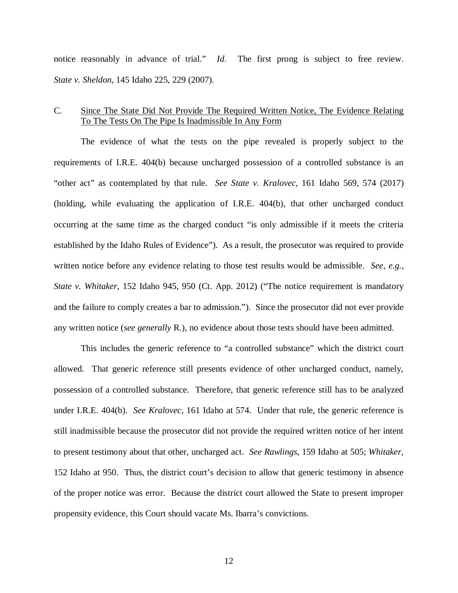notice reasonably in advance of trial." *Id*. The first prong is subject to free review. *State v. Sheldon*, 145 Idaho 225, 229 (2007).

## C. Since The State Did Not Provide The Required Written Notice, The Evidence Relating To The Tests On The Pipe Is Inadmissible In Any Form

The evidence of what the tests on the pipe revealed is properly subject to the requirements of I.R.E. 404(b) because uncharged possession of a controlled substance is an "other act" as contemplated by that rule. *See State v. Kralovec*, 161 Idaho 569, 574 (2017) (holding, while evaluating the application of I.R.E. 404(b), that other uncharged conduct occurring at the same time as the charged conduct "is only admissible if it meets the criteria established by the Idaho Rules of Evidence"). As a result, the prosecutor was required to provide written notice before any evidence relating to those test results would be admissible. *See, e.g., State v. Whitaker*, 152 Idaho 945, 950 (Ct. App. 2012) ("The notice requirement is mandatory and the failure to comply creates a bar to admission."). Since the prosecutor did not ever provide any written notice (*see generally* R.), no evidence about those tests should have been admitted.

This includes the generic reference to "a controlled substance" which the district court allowed. That generic reference still presents evidence of other uncharged conduct, namely, possession of a controlled substance. Therefore, that generic reference still has to be analyzed under I.R.E. 404(b). *See Kralovec*, 161 Idaho at 574. Under that rule, the generic reference is still inadmissible because the prosecutor did not provide the required written notice of her intent to present testimony about that other, uncharged act. *See Rawlings*, 159 Idaho at 505; *Whitaker*, 152 Idaho at 950. Thus, the district court's decision to allow that generic testimony in absence of the proper notice was error. Because the district court allowed the State to present improper propensity evidence, this Court should vacate Ms. Ibarra's convictions.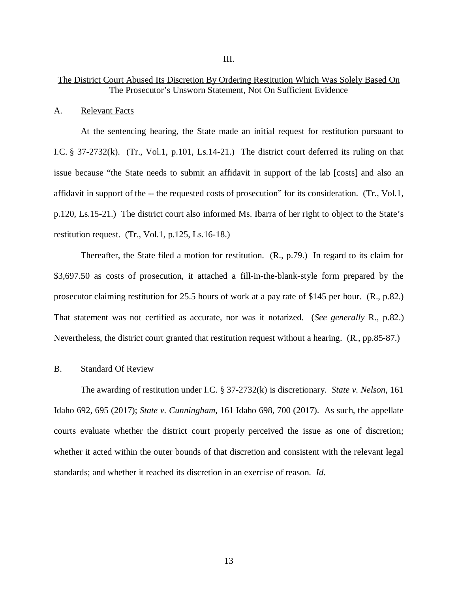## The District Court Abused Its Discretion By Ordering Restitution Which Was Solely Based On The Prosecutor's Unsworn Statement, Not On Sufficient Evidence

#### A. Relevant Facts

At the sentencing hearing, the State made an initial request for restitution pursuant to I.C. § 37-2732(k). (Tr., Vol.1, p.101, Ls.14-21.) The district court deferred its ruling on that issue because "the State needs to submit an affidavit in support of the lab [costs] and also an affidavit in support of the -- the requested costs of prosecution" for its consideration. (Tr., Vol.1, p.120, Ls.15-21.) The district court also informed Ms. Ibarra of her right to object to the State's restitution request. (Tr., Vol.1, p.125, Ls.16-18.)

Thereafter, the State filed a motion for restitution. (R., p.79.) In regard to its claim for \$3,697.50 as costs of prosecution, it attached a fill-in-the-blank-style form prepared by the prosecutor claiming restitution for 25.5 hours of work at a pay rate of \$145 per hour. (R., p.82.) That statement was not certified as accurate, nor was it notarized. (*See generally* R., p.82.) Nevertheless, the district court granted that restitution request without a hearing. (R., pp.85-87.)

#### B. Standard Of Review

The awarding of restitution under I.C. § 37-2732(k) is discretionary. *State v. Nelson*, 161 Idaho 692, 695 (2017); *State v. Cunningham*, 161 Idaho 698, 700 (2017). As such, the appellate courts evaluate whether the district court properly perceived the issue as one of discretion; whether it acted within the outer bounds of that discretion and consistent with the relevant legal standards; and whether it reached its discretion in an exercise of reason. *Id*.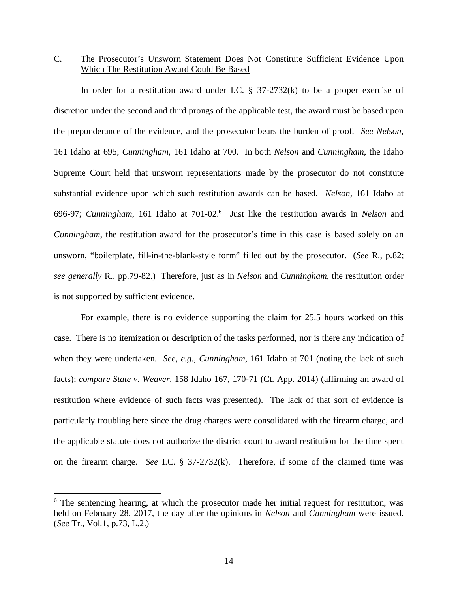# C. The Prosecutor's Unsworn Statement Does Not Constitute Sufficient Evidence Upon Which The Restitution Award Could Be Based

In order for a restitution award under I.C.  $\S$  37-2732(k) to be a proper exercise of discretion under the second and third prongs of the applicable test, the award must be based upon the preponderance of the evidence, and the prosecutor bears the burden of proof. *See Nelson*, 161 Idaho at 695; *Cunningham*, 161 Idaho at 700. In both *Nelson* and *Cunningham*, the Idaho Supreme Court held that unsworn representations made by the prosecutor do not constitute substantial evidence upon which such restitution awards can be based. *Nelson*, 161 Idaho at 696-97; *Cunningham*, 161 Idaho at 701-02.[6](#page-19-0) Just like the restitution awards in *Nelson* and *Cunningham*, the restitution award for the prosecutor's time in this case is based solely on an unsworn, "boilerplate, fill-in-the-blank-style form" filled out by the prosecutor. (*See* R., p.82; *see generally* R., pp.79-82.) Therefore, just as in *Nelson* and *Cunningham*, the restitution order is not supported by sufficient evidence.

For example, there is no evidence supporting the claim for 25.5 hours worked on this case. There is no itemization or description of the tasks performed, nor is there any indication of when they were undertaken. *See, e.g., Cunningham*, 161 Idaho at 701 (noting the lack of such facts); *compare State v. Weaver*, 158 Idaho 167, 170-71 (Ct. App. 2014) (affirming an award of restitution where evidence of such facts was presented). The lack of that sort of evidence is particularly troubling here since the drug charges were consolidated with the firearm charge, and the applicable statute does not authorize the district court to award restitution for the time spent on the firearm charge. *See* I.C. § 37-2732(k). Therefore, if some of the claimed time was

<span id="page-19-0"></span><sup>&</sup>lt;sup>6</sup> The sentencing hearing, at which the prosecutor made her initial request for restitution, was held on February 28, 2017, the day after the opinions in *Nelson* and *Cunningham* were issued. (*See* Tr., Vol.1, p.73, L.2.)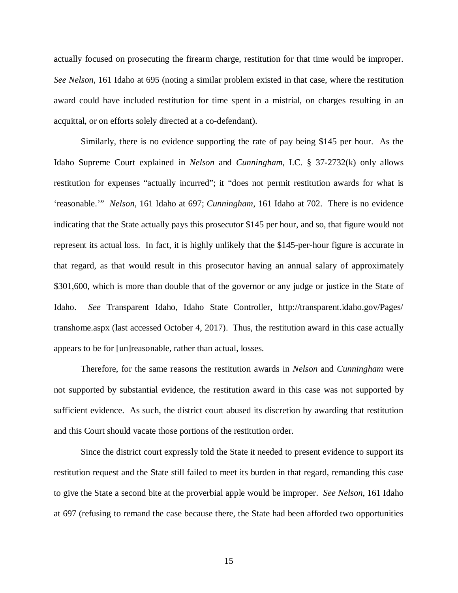actually focused on prosecuting the firearm charge, restitution for that time would be improper. *See Nelson*, 161 Idaho at 695 (noting a similar problem existed in that case, where the restitution award could have included restitution for time spent in a mistrial, on charges resulting in an acquittal, or on efforts solely directed at a co-defendant).

Similarly, there is no evidence supporting the rate of pay being \$145 per hour. As the Idaho Supreme Court explained in *Nelson* and *Cunningham*, I.C. § 37-2732(k) only allows restitution for expenses "actually incurred"; it "does not permit restitution awards for what is 'reasonable.'" *Nelson*, 161 Idaho at 697; *Cunningham*, 161 Idaho at 702. There is no evidence indicating that the State actually pays this prosecutor \$145 per hour, and so, that figure would not represent its actual loss. In fact, it is highly unlikely that the \$145-per-hour figure is accurate in that regard, as that would result in this prosecutor having an annual salary of approximately \$301,600, which is more than double that of the governor or any judge or justice in the State of Idaho. *See* Transparent Idaho, Idaho State Controller, http://transparent.idaho.gov/Pages/ transhome.aspx (last accessed October 4, 2017). Thus, the restitution award in this case actually appears to be for [un]reasonable, rather than actual, losses.

Therefore, for the same reasons the restitution awards in *Nelson* and *Cunningham* were not supported by substantial evidence, the restitution award in this case was not supported by sufficient evidence. As such, the district court abused its discretion by awarding that restitution and this Court should vacate those portions of the restitution order.

Since the district court expressly told the State it needed to present evidence to support its restitution request and the State still failed to meet its burden in that regard, remanding this case to give the State a second bite at the proverbial apple would be improper. *See Nelson*, 161 Idaho at 697 (refusing to remand the case because there, the State had been afforded two opportunities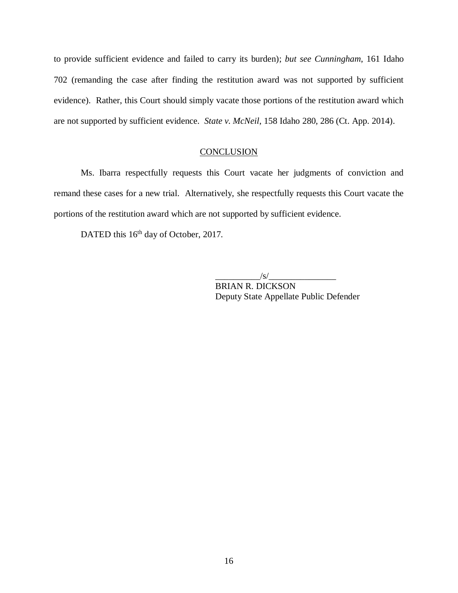to provide sufficient evidence and failed to carry its burden); *but see Cunningham*, 161 Idaho 702 (remanding the case after finding the restitution award was not supported by sufficient evidence). Rather, this Court should simply vacate those portions of the restitution award which are not supported by sufficient evidence. *State v. McNeil*, 158 Idaho 280, 286 (Ct. App. 2014).

### **CONCLUSION**

Ms. Ibarra respectfully requests this Court vacate her judgments of conviction and remand these cases for a new trial. Alternatively, she respectfully requests this Court vacate the portions of the restitution award which are not supported by sufficient evidence.

DATED this 16<sup>th</sup> day of October, 2017.

 $/s/$ 

BRIAN R. DICKSON Deputy State Appellate Public Defender